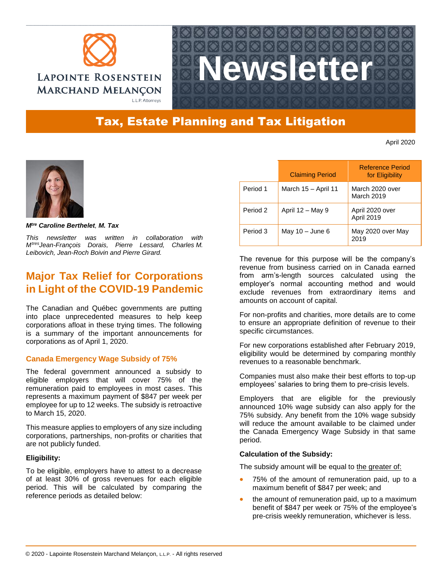



# Tax, Estate Planning and Tax Litigation

April 2020



*Mtre Caroline Berthelet, M. Tax*

*This newsletter was written in collaboration with MtresJean-François Dorais, Pierre Lessard, Charles M. Leibovich, Jean-Roch Boivin and Pierre Girard.*

# **Major Tax Relief for Corporations in Light of the COVID-19 Pandemic**

The Canadian and Québec governments are putting into place unprecedented measures to help keep corporations afloat in these trying times. The following is a summary of the important announcements for corporations as of April 1, 2020.

# **Canada Emergency Wage Subsidy of 75%**

The federal government announced a subsidy to eligible employers that will cover 75% of the remuneration paid to employees in most cases. This represents a maximum payment of \$847 per week per employee for up to 12 weeks. The subsidy is retroactive to March 15, 2020.

This measure applies to employers of any size including corporations, partnerships, non-profits or charities that are not publicly funded.

# **Eligibility:**

To be eligible, employers have to attest to a decrease of at least 30% of gross revenues for each eligible period. This will be calculated by comparing the reference periods as detailed below:

|          | <b>Claiming Period</b> | Reference Period<br>for Eligibility |
|----------|------------------------|-------------------------------------|
| Period 1 | March 15 - April 11    | March 2020 over<br>March 2019       |
| Period 2 | April $12 -$ May 9     | April 2020 over<br>April 2019       |
| Period 3 | May $10 -$ June 6      | May 2020 over May<br>2019           |

The revenue for this purpose will be the company's revenue from business carried on in Canada earned from arm's-length sources calculated using the employer's normal accounting method and would exclude revenues from extraordinary items and amounts on account of capital.

For non-profits and charities, more details are to come to ensure an appropriate definition of revenue to their specific circumstances.

For new corporations established after February 2019, eligibility would be determined by comparing monthly revenues to a reasonable benchmark.

Companies must also make their best efforts to top-up employees' salaries to bring them to pre-crisis levels.

Employers that are eligible for the previously announced 10% wage subsidy can also apply for the 75% subsidy. Any benefit from the 10% wage subsidy will reduce the amount available to be claimed under the Canada Emergency Wage Subsidy in that same period.

# **Calculation of the Subsidy:**

The subsidy amount will be equal to the greater of:

- 75% of the amount of remuneration paid, up to a maximum benefit of \$847 per week; and
- the amount of remuneration paid, up to a maximum benefit of \$847 per week or 75% of the employee's pre-crisis weekly remuneration, whichever is less.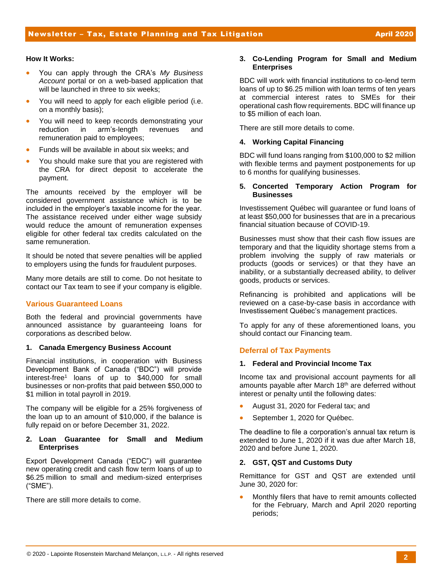#### **How It Works:**

- You can apply through the CRA's *My Business Account* portal or on a web-based application that will be launched in three to six weeks;
- You will need to apply for each eligible period (i.e. on a monthly basis);
- You will need to keep records demonstrating your reduction in arm's-length revenues and remuneration paid to employees;
- Funds will be available in about six weeks; and
- You should make sure that you are registered with the CRA for direct deposit to accelerate the payment.

The amounts received by the employer will be considered government assistance which is to be included in the employer's taxable income for the year. The assistance received under either wage subsidy would reduce the amount of remuneration expenses eligible for other federal tax credits calculated on the same remuneration.

It should be noted that severe penalties will be applied to employers using the funds for fraudulent purposes.

Many more details are still to come. Do not hesitate to contact our Tax team to see if your company is eligible.

# **Various Guaranteed Loans**

Both the federal and provincial governments have announced assistance by guaranteeing loans for corporations as described below.

# **1. Canada Emergency Business Account**

Financial institutions, in cooperation with Business Development Bank of Canada ("BDC") will provide interest-free<sup>1</sup> loans of up to \$40,000 for small businesses or non-profits that paid between \$50,000 to \$1 million in total payroll in 2019.

The company will be eligible for a 25% forgiveness of the loan up to an amount of \$10,000, if the balance is fully repaid on or before December 31, 2022.

#### **2. Loan Guarantee for Small and Medium Enterprises**

Export Development Canada ("EDC") will guarantee new operating credit and cash flow term loans of up to \$6.25 million to small and medium-sized enterprises ("SME").

There are still more details to come.

# **3. Co-Lending Program for Small and Medium Enterprises**

BDC will work with financial institutions to co-lend term loans of up to \$6.25 million with loan terms of ten years at commercial interest rates to SMEs for their operational cash flow requirements. BDC will finance up to \$5 million of each loan.

There are still more details to come.

# **4. Working Capital Financing**

BDC will fund loans ranging from \$100,000 to \$2 million with flexible terms and payment postponements for up to 6 months for qualifying businesses.

#### **5. Concerted Temporary Action Program for Businesses**

Investissement Québec will guarantee or fund loans of at least \$50,000 for businesses that are in a precarious financial situation because of COVID-19.

Businesses must show that their cash flow issues are temporary and that the liquidity shortage stems from a problem involving the supply of raw materials or products (goods or services) or that they have an inability, or a substantially decreased ability, to deliver goods, products or services.

Refinancing is prohibited and applications will be reviewed on a case-by-case basis in accordance with Investissement Québec's management practices.

To apply for any of these aforementioned loans, you should contact our Financing team.

# **Deferral of Tax Payments**

#### **1. Federal and Provincial Income Tax**

Income tax and provisional account payments for all amounts payable after March 18<sup>th</sup> are deferred without interest or penalty until the following dates:

- August 31, 2020 for Federal tax; and
- September 1, 2020 for Québec.

The deadline to file a corporation's annual tax return is extended to June 1, 2020 if it was due after March 18, 2020 and before June 1, 2020.

# **2. GST, QST and Customs Duty**

Remittance for GST and QST are extended until June 30, 2020 for:

 Monthly filers that have to remit amounts collected for the February, March and April 2020 reporting periods;